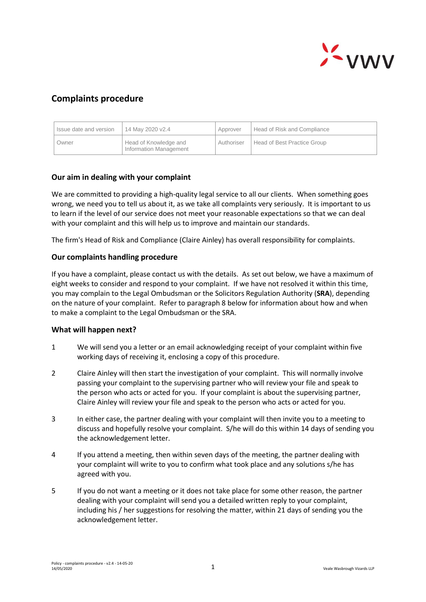

# **Complaints procedure**

| I Issue date and version | 14 May 2020 v2.4                                | Approver   | Head of Risk and Compliance |
|--------------------------|-------------------------------------------------|------------|-----------------------------|
| Owner                    | Head of Knowledge and<br>Information Management | Authoriser | Head of Best Practice Group |

## **Our aim in dealing with your complaint**

We are committed to providing a high-quality legal service to all our clients. When something goes wrong, we need you to tell us about it, as we take all complaints very seriously. It is important to us to learn if the level of our service does not meet your reasonable expectations so that we can deal with your complaint and this will help us to improve and maintain our standards.

The firm's Head of Risk and Compliance (Claire Ainley) has overall responsibility for complaints.

#### **Our complaints handling procedure**

If you have a complaint, please contact us with the details. As set out below, we have a maximum of eight weeks to consider and respond to your complaint. If we have not resolved it within this time, you may complain to the Legal Ombudsman or the Solicitors Regulation Authority (**SRA**), depending on the nature of your complaint. Refer to paragraph 8 below for information about how and when to make a complaint to the Legal Ombudsman or the SRA.

#### **What will happen next?**

- 1 We will send you a letter or an email acknowledging receipt of your complaint within five working days of receiving it, enclosing a copy of this procedure.
- 2 Claire Ainley will then start the investigation of your complaint. This will normally involve passing your complaint to the supervising partner who will review your file and speak to the person who acts or acted for you. If your complaint is about the supervising partner, Claire Ainley will review your file and speak to the person who acts or acted for you.
- 3 In either case, the partner dealing with your complaint will then invite you to a meeting to discuss and hopefully resolve your complaint. S/he will do this within 14 days of sending you the acknowledgement letter.
- 4 If you attend a meeting, then within seven days of the meeting, the partner dealing with your complaint will write to you to confirm what took place and any solutions s/he has agreed with you.
- 5 If you do not want a meeting or it does not take place for some other reason, the partner dealing with your complaint will send you a detailed written reply to your complaint, including his / her suggestions for resolving the matter, within 21 days of sending you the acknowledgement letter.